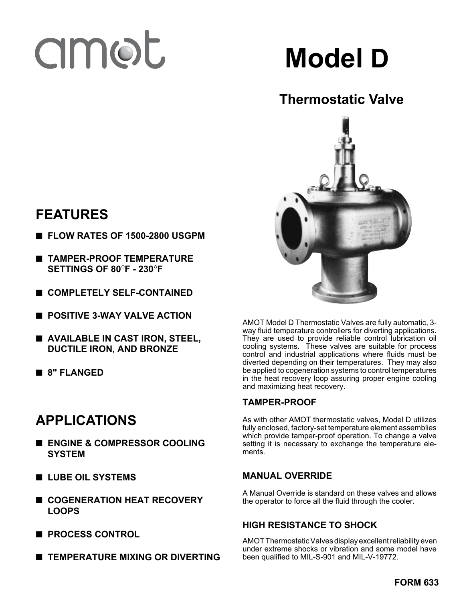# amot

**Model D**

# **Thermostatic Valve**



AMOT Model D Thermostatic Valves are fully automatic, 3 way fluid temperature controllers for diverting applications. They are used to provide reliable control lubrication oil cooling systems. These valves are suitable for process control and industrial applications where fluids must be diverted depending on their temperatures. They may also be applied to cogeneration systems to control temperatures in the heat recovery loop assuring proper engine cooling and maximizing heat recovery.

## **TAMPER-PROOF**

As with other AMOT thermostatic valves, Model D utilizes fully enclosed, factory-set temperature element assemblies which provide tamper-proof operation. To change a valve setting it is necessary to exchange the temperature elements.

## **MANUAL OVERRIDE**

A Manual Override is standard on these valves and allows the operator to force all the fluid through the cooler.

## **HIGH RESISTANCE TO SHOCK**

AMOT Thermostatic Valves display excellent reliability even under extreme shocks or vibration and some model have been qualified to MIL-S-901 and MIL-V-19772.

# **FEATURES**

- **FLOW RATES OF 1500-2800 USGPM**
- **TAMPER-PROOF TEMPERATURE SETTINGS OF 80**°**F - 230**°**F**
- **COMPLETELY SELF-CONTAINED**
- **POSITIVE 3-WAY VALVE ACTION**
- **AVAILABLE IN CAST IRON, STEEL, DUCTILE IRON, AND BRONZE**
- **8" FLANGED**

# **APPLICATIONS**

- **ENGINE & COMPRESSOR COOLING SYSTEM**
- **LUBE OIL SYSTEMS**
- **COGENERATION HEAT RECOVERY LOOPS**
- **PROCESS CONTROL**
- **TEMPERATURE MIXING OR DIVERTING**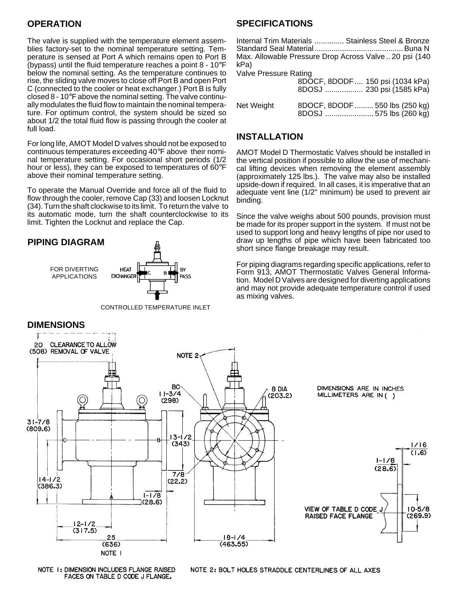#### **OPERATION**

The valve is supplied with the temperature element assemblies factory-set to the nominal temperature setting. Temperature is sensed at Port A which remains open to Port B (bypass) until the fluid temperature reaches a point  $8 - 10^{\circ}F$ below the nominal setting. As the temperature continues to rise, the sliding valve moves to close off Port B and open Port C (connected to the cooler or heat exchanger.) Port B is fully closed 8 - 10°F above the nominal setting. The valve continually modulates the fluid flow to maintain the nominal temperature. For optimum control, the system should be sized so about 1/2 the total fluid flow is passing through the cooler at full load.

For long life, AMOT Model D valves should not be exposed to continuous temperatures exceeding 40°F above their nominal temperature setting. For occasional short periods (1/2 hour or less), they can be exposed to temperatures of 60°F above their nominal temperature setting.

To operate the Manual Override and force all of the fluid to flow through the cooler, remove Cap (33) and loosen Locknut (34). Turn the shaft clockwise to its limit. To return thevalve to its automatic mode, turn the shaft counterclockwise to its limit. Tighten the Locknut and replace the Cap.





CONTROLLED TEMPERATURE INLET

#### **SPECIFICATIONS**

Internal Trim Materials .............. Stainless Steel & Bronze Standard Seal Material..........................................Buna N Max. Allowable Pressure Drop Across Valve .. 20 psi (140 kPa) Valve Pressure Rating

|            | 8DOCF, 8DODF 150 psi (1034 kPa)<br>8DOSJ  230 psi (1585 kPa) |
|------------|--------------------------------------------------------------|
| Net Weight | 8DOCF, 8DODF 550 lbs (250 kg)<br>8DOSJ  575 lbs (260 kg)     |

#### **INSTALLATION**

AMOT Model D Thermostatic Valves should be installed in the vertical position if possible to allow the use of mechanical lifting devices when removing the element assembly (approximately 125 lbs.). The valve may also be installed upside-down if required. In all cases, it is imperative that an adequate vent line (1/2" minimum) be used to prevent air binding.

Since the valve weighs about 500 pounds, provision must be made for its proper support in the system. If must not be used to support long and heavy lengths of pipe nor used to draw up lengths of pipe which have been fabricated too short since flange breakage may result.

For piping diagrams regarding specific applications, refer to Form 913, AMOT Thermostatic Valves General Information. Model D Valves are designed for diverting applications and may not provide adequate temperature control if used as mixing valves.



NOTE 1: DIMENSION INCLUDES FLANGE RAISED FACES ON TABLE D CODE J FLANGE.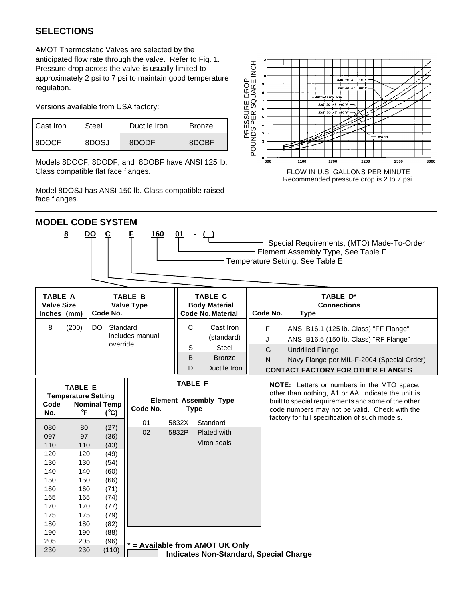## **SELECTIONS**

AMOT Thermostatic Valves are selected by the anticipated flow rate through the valve. Refer to Fig. 1. Pressure drop across the valve is usually limited to approximately 2 psi to 7 psi to maintain good temperature regulation.

Versions available from USA factory:

| l Cast Iron | Steel | Ductile Iron | <b>Bronze</b> |
|-------------|-------|--------------|---------------|
| 8DOCF       | 8DOSJ | 8DODF        | 8DOBF         |

Models 8DOCF, 8DODF, and 8DOBF have ANSI 125 lb. Class compatible flat face flanges.

Model 8DOSJ has ANSI 150 lb. Class compatible raised face flanges.



Recommended pressure drop is 2 to 7 psi.

| <b>MODEL CODE SYSTEM</b>                                                         |                                                                                                                                                                        |                                                                                              |                                                                    |                                                                                              |                                                                                                                                                                                                                           |  |  |  |
|----------------------------------------------------------------------------------|------------------------------------------------------------------------------------------------------------------------------------------------------------------------|----------------------------------------------------------------------------------------------|--------------------------------------------------------------------|----------------------------------------------------------------------------------------------|---------------------------------------------------------------------------------------------------------------------------------------------------------------------------------------------------------------------------|--|--|--|
| 8                                                                                | <b>160</b><br><b>DO</b><br>01<br>$\overline{c}$<br>Special Requirements, (MTO) Made-To-Order<br>Element Assembly Type, See Table F<br>Temperature Setting, See Table E |                                                                                              |                                                                    |                                                                                              |                                                                                                                                                                                                                           |  |  |  |
| <b>TABLE A</b><br><b>Valve Size</b><br>Inches (mm)                               | <b>TABLE B</b><br><b>Valve Type</b><br>Code No.                                                                                                                        |                                                                                              | <b>TABLE C</b><br><b>Body Material</b><br><b>Code No. Material</b> | TABLE D*<br><b>Connections</b><br>Code No.<br><b>Type</b>                                    |                                                                                                                                                                                                                           |  |  |  |
| (200)<br>8                                                                       |                                                                                                                                                                        | DO.<br>Standard<br>override                                                                  | includes manual                                                    | C<br>Cast Iron<br>(standard)<br>S<br><b>Steel</b><br>B<br><b>Bronze</b><br>D<br>Ductile Iron | F<br>ANSI B16.1 (125 lb. Class) "FF Flange"<br>ANSI B16.5 (150 lb. Class) "RF Flange"<br>J<br>G<br><b>Undrilled Flange</b><br>N<br>Navy Flange per MIL-F-2004 (Special Order)<br><b>CONTACT FACTORY FOR OTHER FLANGES</b> |  |  |  |
| <b>Temperature Setting</b><br>Code<br>No.                                        | <b>TABLE E</b><br>$\mathsf{P}$                                                                                                                                         | <b>Nominal Temp</b><br>$(^{\circ}C)$                                                         | Code No.                                                           | <b>TABLE F</b><br><b>Element Assembly Type</b><br><b>Type</b>                                | <b>NOTE:</b> Letters or numbers in the MTO space,<br>other than nothing, A1 or AA, indicate the unit is<br>built to special requirements and some of the other<br>code numbers may not be valid. Check with the           |  |  |  |
| 080<br>097<br>110<br>120<br>130<br>140<br>150<br>160<br>165<br>170<br>175<br>180 | 80<br>97<br>110<br>120<br>130<br>140<br>150<br>160<br>165<br>170<br>175<br>180                                                                                         | (27)<br>(36)<br>(43)<br>(49)<br>(54)<br>(60)<br>(66)<br>(71)<br>(74)<br>(77)<br>(79)<br>(82) | 01<br>02                                                           | 5832X<br>Standard<br>5832P<br>Plated with<br>Viton seals                                     | factory for full specification of such models.                                                                                                                                                                            |  |  |  |
| 190<br>205<br>230                                                                | 190<br>205<br>230                                                                                                                                                      | (88)<br>(96)<br>(110)                                                                        |                                                                    | * = Available from AMOT UK Only<br><b>Indicates Non-Standard, Special Charge</b>             |                                                                                                                                                                                                                           |  |  |  |